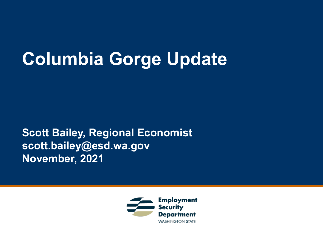## **Columbia Gorge Update**

**Scott Bailey, Regional Economist scott.bailey@esd.wa.gov November, 2021**

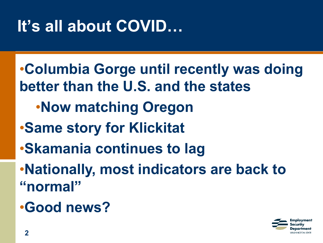### **It's all about COVID…**

- •**Columbia Gorge until recently was doing better than the U.S. and the states** •**Now matching Oregon** •**Same story for Klickitat** •**Skamania continues to lag** •**Nationally, most indicators are back to "normal"**
- •**Good news?**

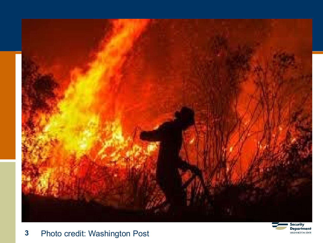



#### Photo credit: Washington Post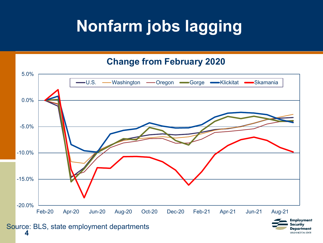### **Nonfarm jobs lagging**

#### **Change from February 2020**



ecuritv Department **WASHINGTON STATE** 

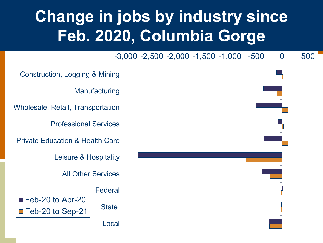#### **Change in jobs by industry since Feb. 2020, Columbia Gorge**

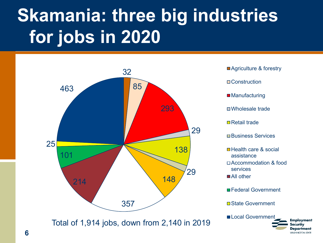# **Skamania: three big industries for jobs in 2020**



Total of 1,914 jobs, down from 2,140 in 2019

**Agriculture & forestry** □ Construction ■ Manufacturing Wholesale trade **□** Retail trade **□Business Services □ Health care & social** assistance □ Accommodation & food services ■All other ■Federal Government

**□ State Government** 

Local Government

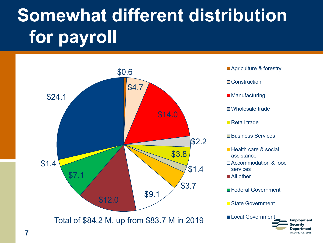# **Somewhat different distribution for payroll**



**Agriculture & forestry □ Construction** ■ Manufacturing □Wholesale trade **□** Retail trade **□Business Services □ Health care & social** assistance □ Accommodation & food services ■All other ■Federal Government **□ State Government** 

Employment ecurity Department **MASHINGTON STATE**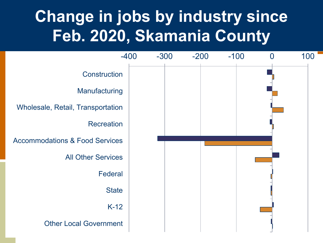#### **Change in jobs by industry since Feb. 2020, Skamania County**

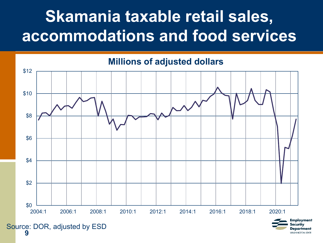#### **Skamania taxable retail sales, accommodations and food services**



Departmen **WASHINGTON STATE** 

Source: DOR, adjusted by ESD<br>9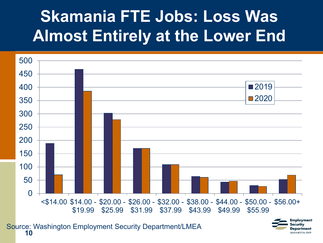### **Skamania FTE Jobs: Loss Was Almost Entirely at the Lower End**



Department **WASHINGTON STATE**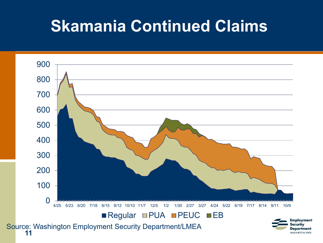#### **Skamania Continued Claims**

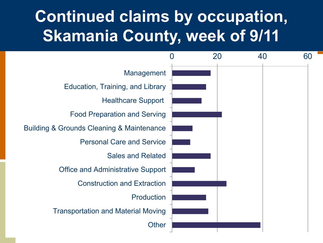#### **Continued claims by occupation, Skamania County, week of 9/11**

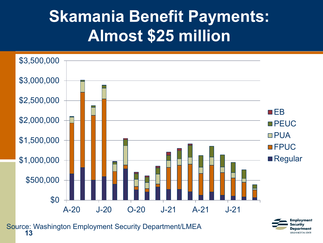#### **Skamania Benefit Payments: Almost \$25 million**



**<sup>13</sup>** Source: Washington Employment Security Department/LMEA

Employment ecurity Department **WASHINGTON STATE**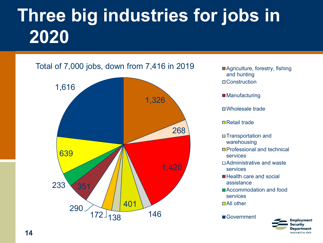# **Three big industries for jobs in 2020**





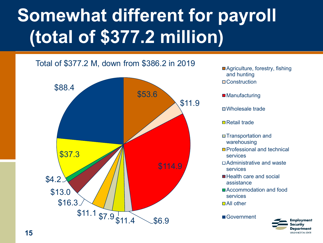#### **Topic Heading (optional) Somewhat different for payroll (total of \$377.2 million)**

#### Total of \$377.2 M, down from \$386.2 in 2019



■ Agriculture, forestry, fishing and hunting □ Construction

■ Manufacturing

Wholesale trade

**□** Retail trade

- □ Transportation and warehousing
- Professional and technical services
- Administrative and waste services
- Health care and social assistance
- Accommodation and food services
- □ All other

Government

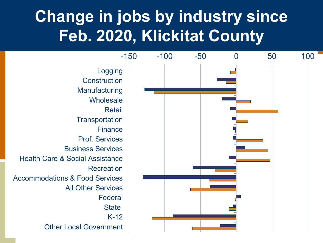#### **Change in jobs by industry since Feb. 2020, Klickitat County**

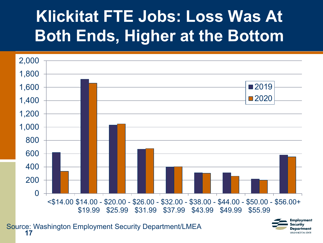### **Klickitat FTE Jobs: Loss Was At Both Ends, Higher at the Bottom**



**<sup>17</sup>** Source: Washington Employment Security Department/LMEA

Employment ecurity Department **WASHINGTON STATE**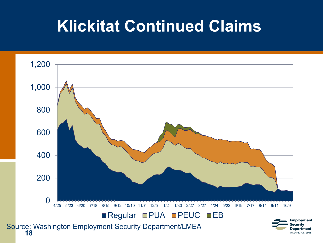#### **Klickitat Continued Claims**

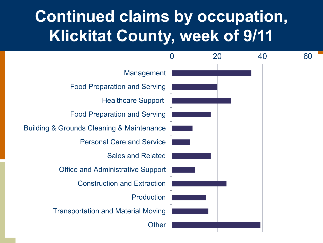#### **Continued claims by occupation, Klickitat County, week of 9/11**

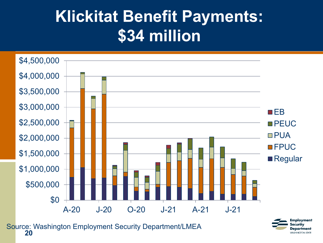#### **Klickitat Benefit Payments: \$34 million**



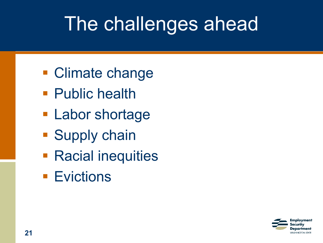# The challenges ahead

- **Climate change**
- **Public health**
- **Labor shortage**
- **Supply chain**
- **Racial inequities**
- **Evictions**